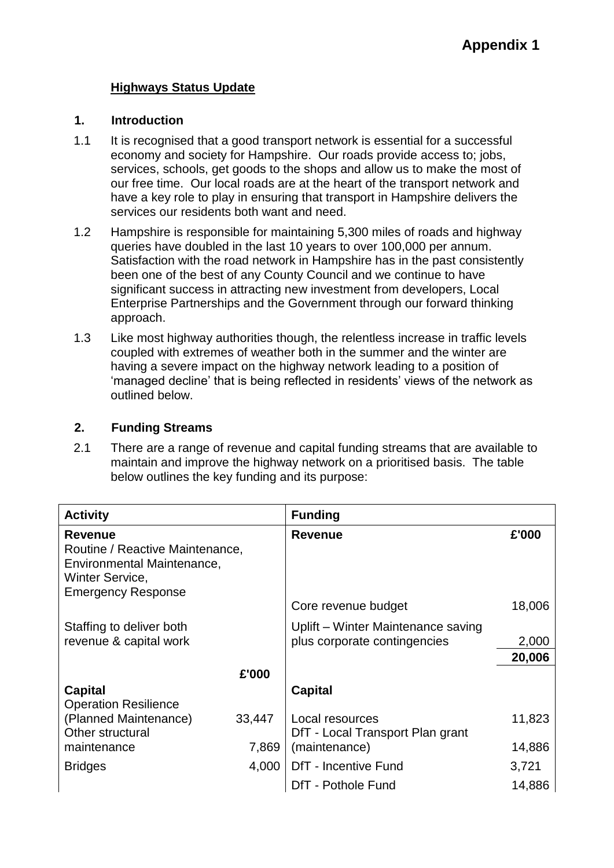## **Highways Status Update**

#### **1. Introduction**

- 1.1 It is recognised that a good transport network is essential for a successful economy and society for Hampshire. Our roads provide access to; jobs, services, schools, get goods to the shops and allow us to make the most of our free time. Our local roads are at the heart of the transport network and have a key role to play in ensuring that transport in Hampshire delivers the services our residents both want and need.
- 1.2 Hampshire is responsible for maintaining 5,300 miles of roads and highway queries have doubled in the last 10 years to over 100,000 per annum. Satisfaction with the road network in Hampshire has in the past consistently been one of the best of any County Council and we continue to have significant success in attracting new investment from developers, Local Enterprise Partnerships and the Government through our forward thinking approach.
- 1.3 Like most highway authorities though, the relentless increase in traffic levels coupled with extremes of weather both in the summer and the winter are having a severe impact on the highway network leading to a position of 'managed decline' that is being reflected in residents' views of the network as outlined below.

### **2. Funding Streams**

2.1 There are a range of revenue and capital funding streams that are available to maintain and improve the highway network on a prioritised basis. The table below outlines the key funding and its purpose:

| <b>Activity</b>                                                                                                                 |        | <b>Funding</b>                                                     |        |
|---------------------------------------------------------------------------------------------------------------------------------|--------|--------------------------------------------------------------------|--------|
| <b>Revenue</b><br>Routine / Reactive Maintenance,<br>Environmental Maintenance,<br>Winter Service,<br><b>Emergency Response</b> |        | <b>Revenue</b>                                                     | £'000  |
|                                                                                                                                 |        | Core revenue budget                                                | 18,006 |
| Staffing to deliver both<br>revenue & capital work                                                                              |        | Uplift - Winter Maintenance saving<br>plus corporate contingencies | 2,000  |
|                                                                                                                                 |        |                                                                    | 20,006 |
|                                                                                                                                 | £'000  |                                                                    |        |
| Capital<br><b>Operation Resilience</b>                                                                                          |        | <b>Capital</b>                                                     |        |
| (Planned Maintenance)<br>Other structural                                                                                       | 33,447 | Local resources<br>DfT - Local Transport Plan grant                | 11,823 |
| maintenance                                                                                                                     | 7,869  | (maintenance)                                                      | 14,886 |
| <b>Bridges</b>                                                                                                                  | 4,000  | DfT - Incentive Fund                                               | 3,721  |
|                                                                                                                                 |        | DfT - Pothole Fund                                                 | 14,886 |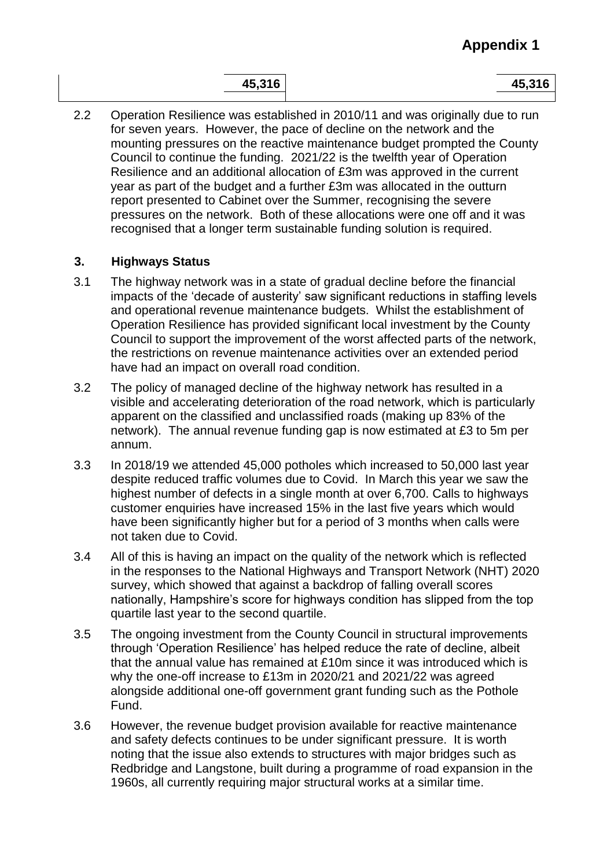| А<br>ь<br>ı<br>J. |
|-------------------|
|-------------------|

**45,316 45,316**

2.2 Operation Resilience was established in 2010/11 and was originally due to run for seven years. However, the pace of decline on the network and the mounting pressures on the reactive maintenance budget prompted the County Council to continue the funding. 2021/22 is the twelfth year of Operation Resilience and an additional allocation of £3m was approved in the current year as part of the budget and a further £3m was allocated in the outturn report presented to Cabinet over the Summer, recognising the severe pressures on the network. Both of these allocations were one off and it was recognised that a longer term sustainable funding solution is required.

# **3. Highways Status**

- 3.1 The highway network was in a state of gradual decline before the financial impacts of the 'decade of austerity' saw significant reductions in staffing levels and operational revenue maintenance budgets. Whilst the establishment of Operation Resilience has provided significant local investment by the County Council to support the improvement of the worst affected parts of the network, the restrictions on revenue maintenance activities over an extended period have had an impact on overall road condition.
- 3.2 The policy of managed decline of the highway network has resulted in a visible and accelerating deterioration of the road network, which is particularly apparent on the classified and unclassified roads (making up 83% of the network). The annual revenue funding gap is now estimated at £3 to 5m per annum.
- 3.3 In 2018/19 we attended 45,000 potholes which increased to 50,000 last year despite reduced traffic volumes due to Covid. In March this year we saw the highest number of defects in a single month at over 6,700. Calls to highways customer enquiries have increased 15% in the last five years which would have been significantly higher but for a period of 3 months when calls were not taken due to Covid.
- 3.4 All of this is having an impact on the quality of the network which is reflected in the responses to the National Highways and Transport Network (NHT) 2020 survey, which showed that against a backdrop of falling overall scores nationally, Hampshire's score for highways condition has slipped from the top quartile last year to the second quartile.
- 3.5 The ongoing investment from the County Council in structural improvements through 'Operation Resilience' has helped reduce the rate of decline, albeit that the annual value has remained at £10m since it was introduced which is why the one-off increase to £13m in 2020/21 and 2021/22 was agreed alongside additional one-off government grant funding such as the Pothole Fund.
- 3.6 However, the revenue budget provision available for reactive maintenance and safety defects continues to be under significant pressure. It is worth noting that the issue also extends to structures with major bridges such as Redbridge and Langstone, built during a programme of road expansion in the 1960s, all currently requiring major structural works at a similar time.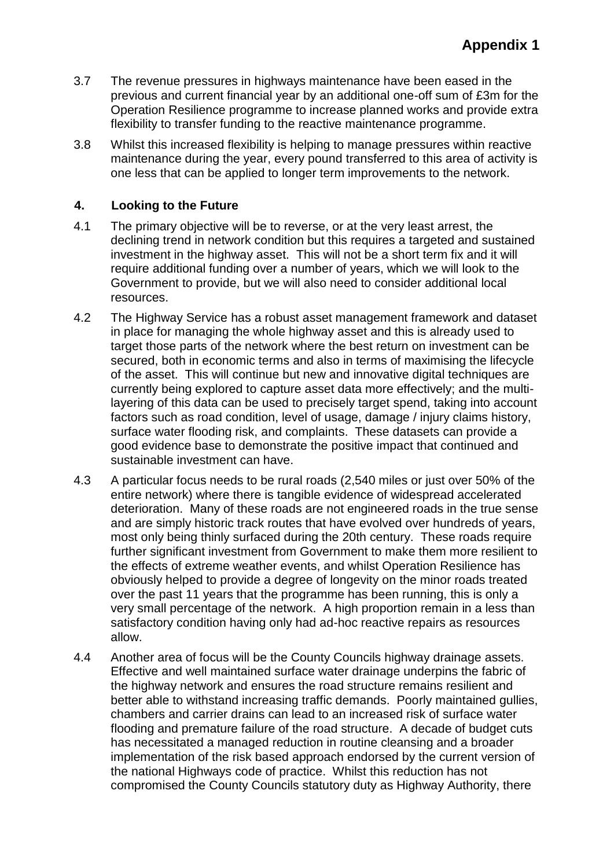- 3.7 The revenue pressures in highways maintenance have been eased in the previous and current financial year by an additional one-off sum of £3m for the Operation Resilience programme to increase planned works and provide extra flexibility to transfer funding to the reactive maintenance programme.
- 3.8 Whilst this increased flexibility is helping to manage pressures within reactive maintenance during the year, every pound transferred to this area of activity is one less that can be applied to longer term improvements to the network.

## **4. Looking to the Future**

- 4.1 The primary objective will be to reverse, or at the very least arrest, the declining trend in network condition but this requires a targeted and sustained investment in the highway asset. This will not be a short term fix and it will require additional funding over a number of years, which we will look to the Government to provide, but we will also need to consider additional local resources.
- 4.2 The Highway Service has a robust asset management framework and dataset in place for managing the whole highway asset and this is already used to target those parts of the network where the best return on investment can be secured, both in economic terms and also in terms of maximising the lifecycle of the asset. This will continue but new and innovative digital techniques are currently being explored to capture asset data more effectively; and the multilayering of this data can be used to precisely target spend, taking into account factors such as road condition, level of usage, damage / injury claims history, surface water flooding risk, and complaints. These datasets can provide a good evidence base to demonstrate the positive impact that continued and sustainable investment can have.
- 4.3 A particular focus needs to be rural roads (2,540 miles or just over 50% of the entire network) where there is tangible evidence of widespread accelerated deterioration. Many of these roads are not engineered roads in the true sense and are simply historic track routes that have evolved over hundreds of years, most only being thinly surfaced during the 20th century. These roads require further significant investment from Government to make them more resilient to the effects of extreme weather events, and whilst Operation Resilience has obviously helped to provide a degree of longevity on the minor roads treated over the past 11 years that the programme has been running, this is only a very small percentage of the network. A high proportion remain in a less than satisfactory condition having only had ad-hoc reactive repairs as resources allow.
- 4.4 Another area of focus will be the County Councils highway drainage assets. Effective and well maintained surface water drainage underpins the fabric of the highway network and ensures the road structure remains resilient and better able to withstand increasing traffic demands. Poorly maintained gullies, chambers and carrier drains can lead to an increased risk of surface water flooding and premature failure of the road structure. A decade of budget cuts has necessitated a managed reduction in routine cleansing and a broader implementation of the risk based approach endorsed by the current version of the national Highways code of practice. Whilst this reduction has not compromised the County Councils statutory duty as Highway Authority, there